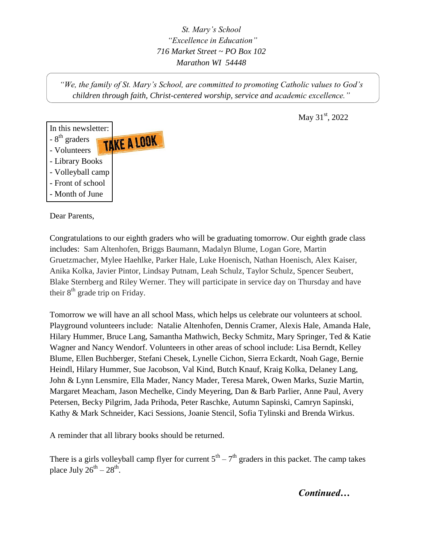*St. Mary's School "Excellence in Education" 716 Market Street ~ PO Box 102 Marathon WI 54448*

*"We, the family of St. Mary's School, are committed to promoting Catholic values to God's children through faith, Christ-centered worship, service and academic excellence."*

May  $31^{\rm st}$ , 2022



Dear Parents,

Congratulations to our eighth graders who will be graduating tomorrow. Our eighth grade class includes: Sam Altenhofen, Briggs Baumann, Madalyn Blume, Logan Gore, Martin Gruetzmacher, Mylee Haehlke, Parker Hale, Luke Hoenisch, Nathan Hoenisch, Alex Kaiser, Anika Kolka, Javier Pintor, Lindsay Putnam, Leah Schulz, Taylor Schulz, Spencer Seubert, Blake Sternberg and Riley Werner. They will participate in service day on Thursday and have their  $8<sup>th</sup>$  grade trip on Friday.

Tomorrow we will have an all school Mass, which helps us celebrate our volunteers at school. Playground volunteers include: Natalie Altenhofen, Dennis Cramer, Alexis Hale, Amanda Hale, Hilary Hummer, Bruce Lang, Samantha Mathwich, Becky Schmitz, Mary Springer, Ted & Katie Wagner and Nancy Wendorf. Volunteers in other areas of school include: Lisa Berndt, Kelley Blume, Ellen Buchberger, Stefani Chesek, Lynelle Cichon, Sierra Eckardt, Noah Gage, Bernie Heindl, Hilary Hummer, Sue Jacobson, Val Kind, Butch Knauf, Kraig Kolka, Delaney Lang, John & Lynn Lensmire, Ella Mader, Nancy Mader, Teresa Marek, Owen Marks, Suzie Martin, Margaret Meacham, Jason Mechelke, Cindy Meyering, Dan & Barb Parlier, Anne Paul, Avery Petersen, Becky Pilgrim, Jada Prihoda, Peter Raschke, Autumn Sapinski, Camryn Sapinski, Kathy & Mark Schneider, Kaci Sessions, Joanie Stencil, Sofia Tylinski and Brenda Wirkus.

A reminder that all library books should be returned.

There is a girls volleyball camp flyer for current  $5<sup>th</sup> - 7<sup>th</sup>$  graders in this packet. The camp takes place July  $26^{th} - 28^{th}$ .

*Continued…*